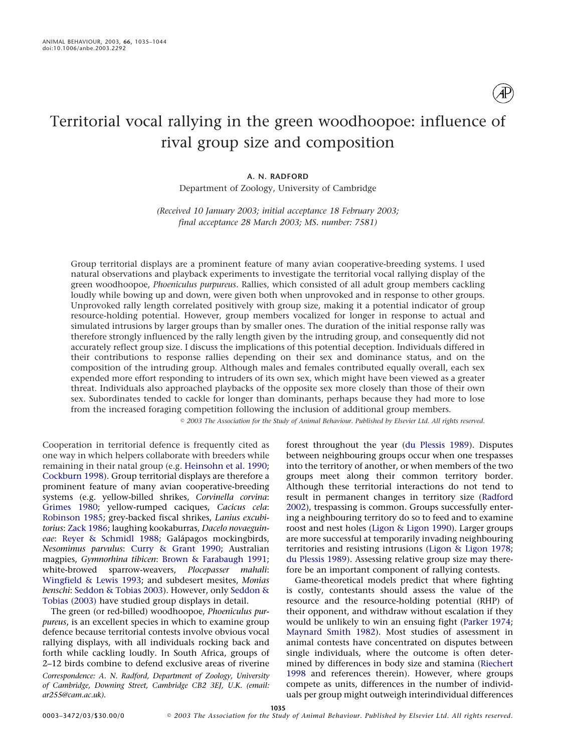# Territorial vocal rallying in the green woodhoopoe: influence of rival group size and composition

# **A. N. RADFORD**

Department of Zoology, University of Cambridge

*(Received 10 January 2003; initial acceptance 18 February 2003; final acceptance 28 March 2003; MS. number: 7581)*

Group territorial displays are a prominent feature of many avian cooperative-breeding systems. I used natural observations and playback experiments to investigate the territorial vocal rallying display of the green woodhoopoe, *Phoeniculus purpureus*. Rallies, which consisted of all adult group members cackling loudly while bowing up and down, were given both when unprovoked and in response to other groups. Unprovoked rally length correlated positively with group size, making it a potential indicator of group resource-holding potential. However, group members vocalized for longer in response to actual and simulated intrusions by larger groups than by smaller ones. The duration of the initial response rally was therefore strongly influenced by the rally length given by the intruding group, and consequently did not accurately reflect group size. I discuss the implications of this potential deception. Individuals differed in their contributions to response rallies depending on their sex and dominance status, and on the composition of the intruding group. Although males and females contributed equally overall, each sex expended more effort responding to intruders of its own sex, which might have been viewed as a greater threat. Individuals also approached playbacks of the opposite sex more closely than those of their own sex. Subordinates tended to cackle for longer than dominants, perhaps because they had more to lose from the increased foraging competition following the inclusion of additional group members.

*2003 The Association for the Study of Animal Behaviour. Published by Elsevier Ltd. All rights reserved.*

Cooperation in territorial defence is frequently cited as one way in which helpers collaborate with breeders while remaining in their natal group (e.g. [Heinsohn et al. 1990;](#page-8-0) [Cockburn 1998\)](#page-8-1). Group territorial displays are therefore a prominent feature of many avian cooperative-breeding systems (e.g. yellow-billed shrikes, *Corvinella corvina*: [Grimes 1980;](#page-8-2) yellow-rumped caciques, *Cacicus cela*: [Robinson 1985;](#page-9-0) grey-backed fiscal shrikes, *Lanius excubitorius*: [Zack 1986;](#page-9-1) laughing kookaburras, *Dacelo novaeguin-*eae: [Reyer & Schmidl 1988;](#page-9-2) Galápagos mockingbirds, *Nesomimus parvulus*: [Curry & Grant 1990;](#page-8-3) Australian magpies, *Gymnorhina tibicen*: [Brown & Farabaugh 1991;](#page-8-4) white-browed sparrow-weavers, *Plocepasser mahali*: [Wingfield & Lewis 1993;](#page-9-3) and subdesert mesites, *Monias benschi*: [Seddon & Tobias 2003\)](#page-9-4). However, only [Seddon &](#page-9-4) [Tobias \(2003\)](#page-9-4) have studied group displays in detail.

The green (or red-billed) woodhoopoe, *Phoeniculus purpureus*, is an excellent species in which to examine group defence because territorial contests involve obvious vocal rallying displays, with all individuals rocking back and forth while cackling loudly. In South Africa, groups of 2–12 birds combine to defend exclusive areas of riverine

*Correspondence: A. N. Radford, Department of Zoology, University of Cambridge, Downing Street, Cambridge CB2 3EJ, U.K. (email: ar255@cam.ac.uk).*

forest throughout the year [\(du Plessis 1989\)](#page-9-5). Disputes between neighbouring groups occur when one trespasses into the territory of another, or when members of the two groups meet along their common territory border. Although these territorial interactions do not tend to result in permanent changes in territory size [\(Radford](#page-9-6) [2002\)](#page-9-6), trespassing is common. Groups successfully entering a neighbouring territory do so to feed and to examine roost and nest holes [\(Ligon & Ligon 1990\)](#page-8-5). Larger groups are more successful at temporarily invading neighbouring territories and resisting intrusions [\(Ligon & Ligon 1978;](#page-8-6) [du Plessis 1989\)](#page-9-5). Assessing relative group size may therefore be an important component of rallying contests.

Game-theoretical models predict that where fighting is costly, contestants should assess the value of the resource and the resource-holding potential (RHP) of their opponent, and withdraw without escalation if they would be unlikely to win an ensuing fight [\(Parker 1974;](#page-9-7) [Maynard Smith 1982\)](#page-8-7). Most studies of assessment in animal contests have concentrated on disputes between single individuals, where the outcome is often determined by differences in body size and stamina [\(Riechert](#page-9-8) [1998](#page-9-8) and references therein). However, where groups compete as units, differences in the number of individuals per group might outweigh interindividual differences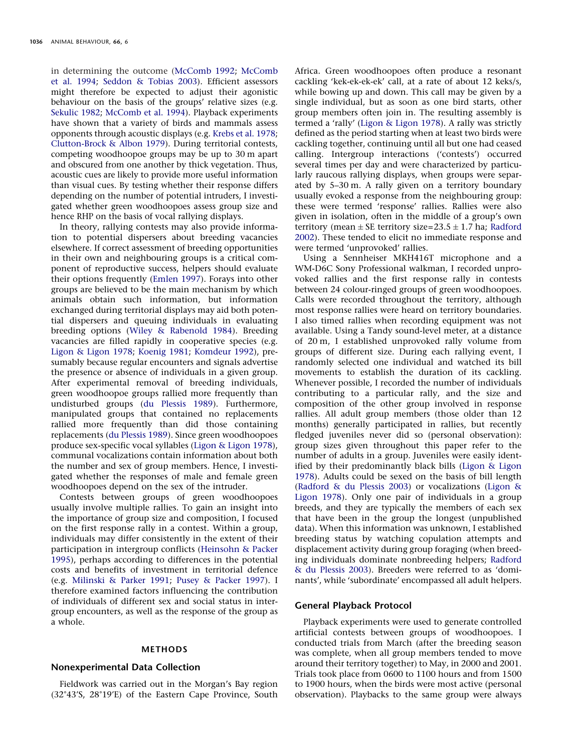in determining the outcome [\(McComb 1992;](#page-8-8) [McComb](#page-8-9) [et al. 1994;](#page-8-9) [Seddon & Tobias 2003\)](#page-9-4). Efficient assessors might therefore be expected to adjust their agonistic behaviour on the basis of the groups' relative sizes (e.g. [Sekulic 1982;](#page-9-9) [McComb et al. 1994\)](#page-8-9). Playback experiments have shown that a variety of birds and mammals assess opponents through acoustic displays (e.g. [Krebs et al. 1978;](#page-8-10) [Clutton-Brock & Albon 1979\)](#page-8-11). During territorial contests, competing woodhoopoe groups may be up to 30 m apart and obscured from one another by thick vegetation. Thus, acoustic cues are likely to provide more useful information than visual cues. By testing whether their response differs depending on the number of potential intruders, I investigated whether green woodhoopoes assess group size and hence RHP on the basis of vocal rallying displays.

In theory, rallying contests may also provide information to potential dispersers about breeding vacancies elsewhere. If correct assessment of breeding opportunities in their own and neighbouring groups is a critical component of reproductive success, helpers should evaluate their options frequently [\(Emlen 1997\)](#page-8-12). Forays into other groups are believed to be the main mechanism by which animals obtain such information, but information exchanged during territorial displays may aid both potential dispersers and queuing individuals in evaluating breeding options [\(Wiley & Rabenold 1984\)](#page-9-10). Breeding vacancies are filled rapidly in cooperative species (e.g. [Ligon & Ligon 1978;](#page-8-6) [Koenig 1981;](#page-8-13) [Komdeur 1992\)](#page-8-14), presumably because regular encounters and signals advertise the presence or absence of individuals in a given group. After experimental removal of breeding individuals, green woodhoopoe groups rallied more frequently than undisturbed groups [\(du Plessis 1989\)](#page-9-5). Furthermore, manipulated groups that contained no replacements rallied more frequently than did those containing replacements [\(du Plessis 1989\)](#page-9-5). Since green woodhoopoes produce sex-specific vocal syllables [\(Ligon & Ligon 1978\)](#page-8-6), communal vocalizations contain information about both the number and sex of group members. Hence, I investigated whether the responses of male and female green woodhoopoes depend on the sex of the intruder.

Contests between groups of green woodhoopoes usually involve multiple rallies. To gain an insight into the importance of group size and composition, I focused on the first response rally in a contest. Within a group, individuals may differ consistently in the extent of their participation in intergroup conflicts [\(Heinsohn & Packer](#page-8-15) [1995\)](#page-8-15), perhaps according to differences in the potential costs and benefits of investment in territorial defence (e.g. [Milinski & Parker 1991;](#page-9-11) [Pusey & Packer 1997\)](#page-9-12). I therefore examined factors influencing the contribution of individuals of different sex and social status in intergroup encounters, as well as the response of the group as a whole.

#### **METHODS**

# **Nonexperimental Data Collection**

Fieldwork was carried out in the Morgan's Bay region (32°43′S, 28°19′E) of the Eastern Cape Province, South

Africa. Green woodhoopoes often produce a resonant cackling 'kek-ek-ek-ek' call, at a rate of about 12 keks/s, while bowing up and down. This call may be given by a single individual, but as soon as one bird starts, other group members often join in. The resulting assembly is termed a 'rally' [\(Ligon & Ligon 1978\)](#page-8-6). A rally was strictly defined as the period starting when at least two birds were cackling together, continuing until all but one had ceased calling. Intergroup interactions ('contests') occurred several times per day and were characterized by particularly raucous rallying displays, when groups were separated by 5–30 m. A rally given on a territory boundary usually evoked a response from the neighbouring group: these were termed 'response' rallies. Rallies were also given in isolation, often in the middle of a group's own territory (mean  $\pm$  SE territory size=23.5  $\pm$  1.7 ha; [Radford](#page-9-6) [2002\)](#page-9-6). These tended to elicit no immediate response and were termed 'unprovoked' rallies.

Using a Sennheiser MKH416T microphone and a WM-D6C Sony Professional walkman, I recorded unprovoked rallies and the first response rally in contests between 24 colour-ringed groups of green woodhoopoes. Calls were recorded throughout the territory, although most response rallies were heard on territory boundaries. I also timed rallies when recording equipment was not available. Using a Tandy sound-level meter, at a distance of 20 m, I established unprovoked rally volume from groups of different size. During each rallying event, I randomly selected one individual and watched its bill movements to establish the duration of its cackling. Whenever possible, I recorded the number of individuals contributing to a particular rally, and the size and composition of the other group involved in response rallies. All adult group members (those older than 12 months) generally participated in rallies, but recently fledged juveniles never did so (personal observation): group sizes given throughout this paper refer to the number of adults in a group. Juveniles were easily identified by their predominantly black bills [\(Ligon & Ligon](#page-8-6) [1978\)](#page-8-6). Adults could be sexed on the basis of bill length [\(Radford & du Plessis 2003\)](#page-9-13) or vocalizations [\(Ligon &](#page-8-6) [Ligon 1978\)](#page-8-6). Only one pair of individuals in a group breeds, and they are typically the members of each sex that have been in the group the longest (unpublished data). When this information was unknown, I established breeding status by watching copulation attempts and displacement activity during group foraging (when breeding individuals dominate nonbreeding helpers; [Radford](#page-9-13) [& du Plessis 2003\)](#page-9-13). Breeders were referred to as 'dominants', while 'subordinate' encompassed all adult helpers.

#### **General Playback Protocol**

Playback experiments were used to generate controlled artificial contests between groups of woodhoopoes. I conducted trials from March (after the breeding season was complete, when all group members tended to move around their territory together) to May, in 2000 and 2001. Trials took place from 0600 to 1100 hours and from 1500 to 1900 hours, when the birds were most active (personal observation). Playbacks to the same group were always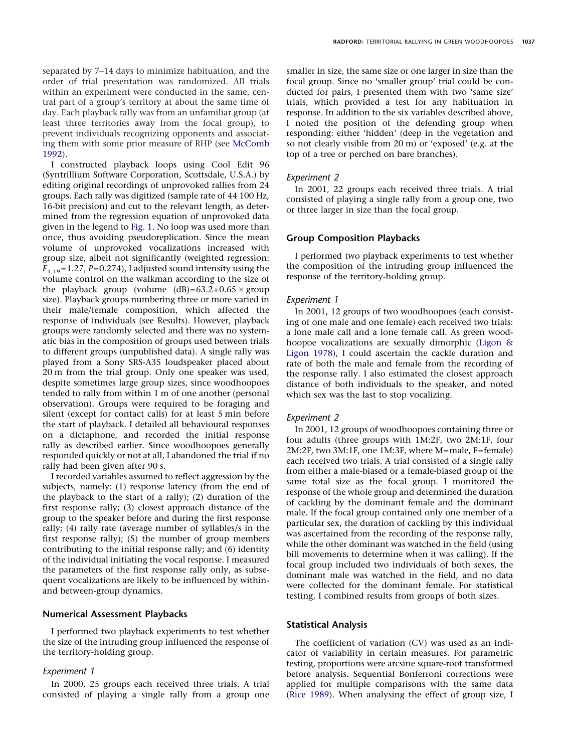separated by 7–14 days to minimize habituation, and the order of trial presentation was randomized. All trials within an experiment were conducted in the same, central part of a group's territory at about the same time of day. Each playback rally was from an unfamiliar group (at least three territories away from the focal group), to prevent individuals recognizing opponents and associating them with some prior measure of RHP (see [McComb](#page-8-8) [1992\)](#page-8-8).

I constructed playback loops using Cool Edit 96 (Syntrillium Software Corporation, Scottsdale, U.S.A.) by editing original recordings of unprovoked rallies from 24 groups. Each rally was digitized (sample rate of 44 100 Hz, 16-bit precision) and cut to the relevant length, as determined from the regression equation of unprovoked data given in the legend to [Fig. 1.](#page-3-0) No loop was used more than once, thus avoiding pseudoreplication. Since the mean volume of unprovoked vocalizations increased with group size, albeit not significantly (weighted regression:  $F_{1,19}=1.27$ ,  $P=0.274$ ), I adjusted sound intensity using the volume control on the walkman according to the size of the playback group (volume  $(dB)=63.2+0.65\times group$ size). Playback groups numbering three or more varied in their male/female composition, which affected the response of individuals (see Results). However, playback groups were randomly selected and there was no systematic bias in the composition of groups used between trials to different groups (unpublished data). A single rally was played from a Sony SRS-A35 loudspeaker placed about 20 m from the trial group. Only one speaker was used, despite sometimes large group sizes, since woodhoopoes tended to rally from within 1 m of one another (personal observation). Groups were required to be foraging and silent (except for contact calls) for at least 5 min before the start of playback. I detailed all behavioural responses on a dictaphone, and recorded the initial response rally as described earlier. Since woodhoopoes generally responded quickly or not at all, I abandoned the trial if no rally had been given after 90 s.

I recorded variables assumed to reflect aggression by the subjects, namely: (1) response latency (from the end of the playback to the start of a rally); (2) duration of the first response rally; (3) closest approach distance of the group to the speaker before and during the first response rally; (4) rally rate (average number of syllables/s in the first response rally); (5) the number of group members contributing to the initial response rally; and (6) identity of the individual initiating the vocal response. I measured the parameters of the first response rally only, as subsequent vocalizations are likely to be influenced by withinand between-group dynamics.

# **Numerical Assessment Playbacks**

I performed two playback experiments to test whether the size of the intruding group influenced the response of the territory-holding group.

# *Experiment 1*

In 2000, 25 groups each received three trials. A trial consisted of playing a single rally from a group one smaller in size, the same size or one larger in size than the focal group. Since no 'smaller group' trial could be conducted for pairs, I presented them with two 'same size' trials, which provided a test for any habituation in response. In addition to the six variables described above, I noted the position of the defending group when responding: either 'hidden' (deep in the vegetation and so not clearly visible from 20 m) or 'exposed' (e.g. at the top of a tree or perched on bare branches).

#### *Experiment 2*

In 2001, 22 groups each received three trials. A trial consisted of playing a single rally from a group one, two or three larger in size than the focal group.

# **Group Composition Playbacks**

I performed two playback experiments to test whether the composition of the intruding group influenced the response of the territory-holding group.

#### *Experiment 1*

In 2001, 12 groups of two woodhoopoes (each consisting of one male and one female) each received two trials: a lone male call and a lone female call. As green woodhoopoe vocalizations are sexually dimorphic [\(Ligon &](#page-8-6) [Ligon 1978\)](#page-8-6), I could ascertain the cackle duration and rate of both the male and female from the recording of the response rally. I also estimated the closest approach distance of both individuals to the speaker, and noted which sex was the last to stop vocalizing.

#### *Experiment 2*

In 2001, 12 groups of woodhoopoes containing three or four adults (three groups with 1M:2F, two 2M:1F, four 2M:2F, two 3M:1F, one 1M:3F, where M=male, F=female) each received two trials. A trial consisted of a single rally from either a male-biased or a female-biased group of the same total size as the focal group. I monitored the response of the whole group and determined the duration of cackling by the dominant female and the dominant male. If the focal group contained only one member of a particular sex, the duration of cackling by this individual was ascertained from the recording of the response rally, while the other dominant was watched in the field (using bill movements to determine when it was calling). If the focal group included two individuals of both sexes, the dominant male was watched in the field, and no data were collected for the dominant female. For statistical testing, I combined results from groups of both sizes.

## **Statistical Analysis**

The coefficient of variation (CV) was used as an indicator of variability in certain measures. For parametric testing, proportions were arcsine square-root transformed before analysis. Sequential Bonferroni corrections were applied for multiple comparisons with the same data [\(Rice 1989\)](#page-9-14). When analysing the effect of group size, I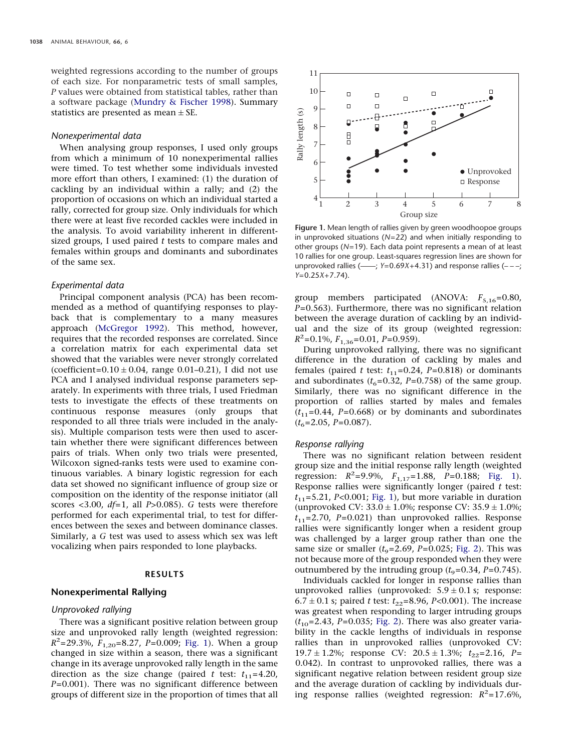weighted regressions according to the number of groups of each size. For nonparametric tests of small samples, *P* values were obtained from statistical tables, rather than a software package [\(Mundry & Fischer 1998\)](#page-9-15). Summary statistics are presented as mean  $\pm$  SE.

# *Nonexperimental data*

When analysing group responses, I used only groups from which a minimum of 10 nonexperimental rallies were timed. To test whether some individuals invested more effort than others, I examined: (1) the duration of cackling by an individual within a rally; and (2) the proportion of occasions on which an individual started a rally, corrected for group size. Only individuals for which there were at least five recorded cackles were included in the analysis. To avoid variability inherent in differentsized groups, I used paired *t* tests to compare males and females within groups and dominants and subordinates of the same sex.

#### *Experimental data*

Principal component analysis (PCA) has been recommended as a method of quantifying responses to playback that is complementary to a many measures approach [\(McGregor 1992\)](#page-8-16). This method, however, requires that the recorded responses are correlated. Since a correlation matrix for each experimental data set showed that the variables were never strongly correlated (coefficient=0.10 $\pm$ 0.04, range 0.01–0.21), I did not use PCA and I analysed individual response parameters separately. In experiments with three trials, I used Friedman tests to investigate the effects of these treatments on continuous response measures (only groups that responded to all three trials were included in the analysis). Multiple comparison tests were then used to ascertain whether there were significant differences between pairs of trials. When only two trials were presented, Wilcoxon signed-ranks tests were used to examine continuous variables. A binary logistic regression for each data set showed no significant influence of group size or composition on the identity of the response initiator (all scores <3.00, *df*=1, all *P>*0.085). *G* tests were therefore performed for each experimental trial, to test for differences between the sexes and between dominance classes. Similarly, a *G* test was used to assess which sex was left vocalizing when pairs responded to lone playbacks.

#### **RESULTS**

# **Nonexperimental Rallying**

# *Unprovoked rallying*

There was a significant positive relation between group size and unprovoked rally length (weighted regression: *R*2 =29.3%, *F*1,20=8.27, *P*=0.009; [Fig. 1\)](#page-3-0). When a group changed in size within a season, there was a significant change in its average unprovoked rally length in the same direction as the size change (paired *t* test:  $t_{11} = 4.20$ , *P*=0.001). There was no significant difference between groups of different size in the proportion of times that all

<span id="page-3-0"></span>

**Figure 1.** Mean length of rallies given by green woodhoopoe groups in unprovoked situations (*N*=22) and when initially responding to other groups (*N*=19). Each data point represents a mean of at least 10 rallies for one group. Least-squares regression lines are shown for unprovoked rallies (——; *Y*=0.69*X*+4.31) and response rallies (– – –; *Y*=0.25*X*+7.74).

group members participated (ANOVA:  $F_{5,16}$ =0.80, *P*=0.563). Furthermore, there was no significant relation between the average duration of cackling by an individual and the size of its group (weighted regression: *R*2 =0.1%, *F*1,36=0.01, *P*=0.959).

During unprovoked rallying, there was no significant difference in the duration of cackling by males and females (paired *t* test:  $t_{11}=0.24$ ,  $P=0.818$ ) or dominants and subordinates  $(t_6=0.32, P=0.758)$  of the same group. Similarly, there was no significant difference in the proportion of rallies started by males and females  $(t_{11}=0.44, P=0.668)$  or by dominants and subordinates  $(t<sub>6</sub>=2.05, P=0.087).$ 

#### *Response rallying*

There was no significant relation between resident group size and the initial response rally length (weighted regression:  $R^2 = 9.9\%$ ,  $F_{1,17} = 1.88$ ,  $P = 0.188$ ; [Fig. 1\)](#page-3-0). Response rallies were significantly longer (paired *t* test:  $t_{11}$ =5.21, *P*<0.001; [Fig. 1\)](#page-3-0), but more variable in duration (unprovoked CV:  $33.0 \pm 1.0\%$ ; response CV:  $35.9 \pm 1.0\%$ ;  $t_{11}$ =2.70, *P*=0.021) than unprovoked rallies. Response rallies were significantly longer when a resident group was challenged by a larger group rather than one the same size or smaller  $(t<sub>9</sub>=2.69, P=0.025; Fig. 2)$  $(t<sub>9</sub>=2.69, P=0.025; Fig. 2)$ . This was not because more of the group responded when they were outnumbered by the intruding group  $(t_9=0.34, P=0.745)$ .

Individuals cackled for longer in response rallies than unprovoked rallies (unprovoked:  $5.9 \pm 0.1$  s; response:  $6.7 \pm 0.1$  s; paired *t* test:  $t_{22}=8.96$ , *P*<0.001). The increase was greatest when responding to larger intruding groups  $(t_{10}=2.43, P=0.035;$  [Fig. 2\)](#page-4-0). There was also greater variability in the cackle lengths of individuals in response rallies than in unprovoked rallies (unprovoked CV:  $19.7 \pm 1.2\%$ ; response CV:  $20.5 \pm 1.3\%$ ;  $t_{22}=2.16$ ,  $P=$ 0.042). In contrast to unprovoked rallies, there was a significant negative relation between resident group size and the average duration of cackling by individuals during response rallies (weighted regression:  $R^2$ =17.6%,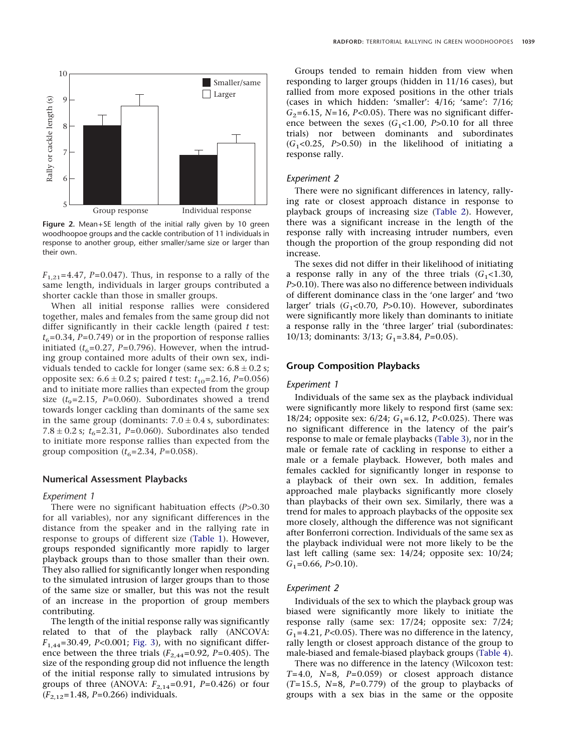<span id="page-4-0"></span>

**Figure 2.** Mean+SE length of the initial rally given by 10 green woodhoopoe groups and the cackle contribution of 11 individuals in response to another group, either smaller/same size or larger than their own.

 $F_{1,21}$ =4.47, *P*=0.047). Thus, in response to a rally of the same length, individuals in larger groups contributed a shorter cackle than those in smaller groups.

When all initial response rallies were considered together, males and females from the same group did not differ significantly in their cackle length (paired *t* test:  $t_6$ =0.34, *P*=0.749) or in the proportion of response rallies initiated  $(t_{6}=0.27, P=0.796)$ . However, when the intruding group contained more adults of their own sex, individuals tended to cackle for longer (same sex:  $6.8 \pm 0.2$  s; opposite sex:  $6.6 \pm 0.2$  s; paired *t* test:  $t_{10}$ =2.16, *P*=0.056) and to initiate more rallies than expected from the group size  $(t_9=2.15, P=0.060)$ . Subordinates showed a trend towards longer cackling than dominants of the same sex in the same group (dominants:  $7.0 \pm 0.4$  s, subordinates: 7.8  $\pm$  0.2 s; *t*<sub>6</sub>=2.31, *P*=0.060). Subordinates also tended to initiate more response rallies than expected from the group composition  $(t_6 = 2.34, P = 0.058)$ .

## **Numerical Assessment Playbacks**

#### *Experiment 1*

There were no significant habituation effects (*P>*0.30 for all variables), nor any significant differences in the distance from the speaker and in the rallying rate in response to groups of different size [\(Table 1\)](#page-5-0). However, groups responded significantly more rapidly to larger playback groups than to those smaller than their own. They also rallied for significantly longer when responding to the simulated intrusion of larger groups than to those of the same size or smaller, but this was not the result of an increase in the proportion of group members contributing.

The length of the initial response rally was significantly related to that of the playback rally (ANCOVA: *F*1,44=30.49, *P<*0.001; [Fig. 3\)](#page-5-1), with no significant difference between the three trials  $(F_{2,44}=0.92, P=0.405)$ . The size of the responding group did not influence the length of the initial response rally to simulated intrusions by groups of three (ANOVA:  $F_{2,14}$ =0.91, *P*=0.426) or four  $(F_{2,12}=1.48, P=0.266)$  individuals.

Groups tended to remain hidden from view when responding to larger groups (hidden in 11/16 cases), but rallied from more exposed positions in the other trials (cases in which hidden: 'smaller': 4/16; 'same': 7/16;  $G_2$ =6.15, *N*=16, *P*<0.05). There was no significant difference between the sexes  $(G_1<1.00, P>0.10$  for all three trials) nor between dominants and subordinates (*G*1<0.25, *P>*0.50) in the likelihood of initiating a response rally.

# *Experiment 2*

There were no significant differences in latency, rallying rate or closest approach distance in response to playback groups of increasing size [\(Table 2\)](#page-6-0). However, there was a significant increase in the length of the response rally with increasing intruder numbers, even though the proportion of the group responding did not increase.

The sexes did not differ in their likelihood of initiating a response rally in any of the three trials  $(G_1 < 1.30)$ , *P>*0.10). There was also no difference between individuals of different dominance class in the 'one larger' and 'two larger' trials (*G*<sub>1</sub><0.70, *P*>0.10). However, subordinates were significantly more likely than dominants to initiate a response rally in the 'three larger' trial (subordinates: 10/13; dominants: 3/13;  $G_1 = 3.84$ ,  $P = 0.05$ ).

# **Group Composition Playbacks**

#### *Experiment 1*

Individuals of the same sex as the playback individual were significantly more likely to respond first (same sex: 18/24; opposite sex: 6/24;  $G_1 = 6.12$ , *P*<0.025). There was no significant difference in the latency of the pair's response to male or female playbacks [\(Table 3\)](#page-6-1), nor in the male or female rate of cackling in response to either a male or a female playback. However, both males and females cackled for significantly longer in response to a playback of their own sex. In addition, females approached male playbacks significantly more closely than playbacks of their own sex. Similarly, there was a trend for males to approach playbacks of the opposite sex more closely, although the difference was not significant after Bonferroni correction. Individuals of the same sex as the playback individual were not more likely to be the last left calling (same sex: 14/24; opposite sex: 10/24; *G*1=0.66, *P>*0.10).

#### *Experiment 2*

Individuals of the sex to which the playback group was biased were significantly more likely to initiate the response rally (same sex: 17/24; opposite sex: 7/24; *G*1=4.21, *P<*0.05). There was no difference in the latency, rally length or closest approach distance of the group to male-biased and female-biased playback groups [\(Table 4\)](#page-6-2).

There was no difference in the latency (Wilcoxon test: *T*=4.0, *N*=8, *P*=0.059) or closest approach distance (*T*=15.5, *N*=8, *P*=0.779) of the group to playbacks of groups with a sex bias in the same or the opposite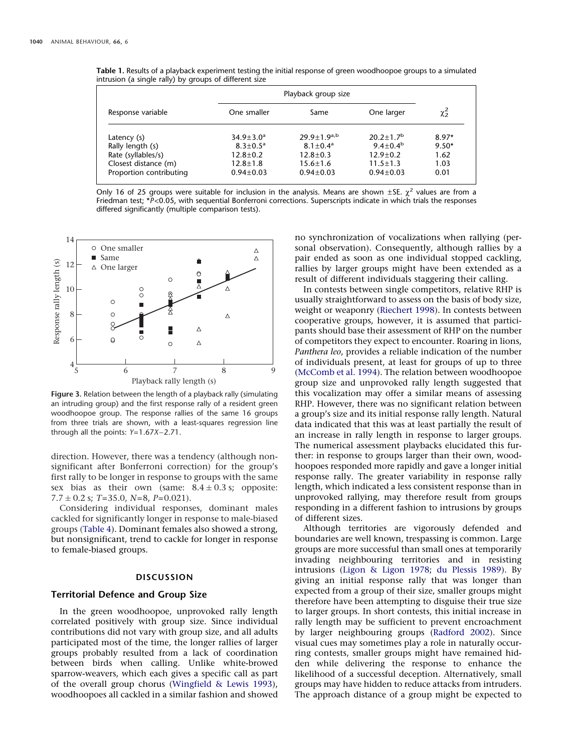|                         | Playback group size   |                       |                  |            |
|-------------------------|-----------------------|-----------------------|------------------|------------|
| Response variable       | One smaller           | Same                  | One larger       | $\chi_2^2$ |
| Latency (s)             | $34.9 \pm 3.0^a$      | $29.9 \pm 1.9^{a,b}$  | $20.2 \pm 1.7^b$ | $8.97*$    |
| Rally length (s)        | $8.3 \pm 0.5^{\circ}$ | $8.1 \pm 0.4^{\circ}$ | $9.4 + 0.4^b$    | $9.50*$    |
| Rate (syllables/s)      | $12.8 \pm 0.2$        | $12.8 + 0.3$          | $12.9 + 0.2$     | 1.62       |
| Closest distance (m)    | $12.8 \pm 1.8$        | $15.6 \pm 1.6$        | $11.5 \pm 1.3$   | 1.03       |
| Proportion contributing | $0.94 \pm 0.03$       | $0.94 \pm 0.03$       | $0.94 \pm 0.03$  | 0.01       |

<span id="page-5-0"></span>**Table 1.** Results of a playback experiment testing the initial response of green woodhoopoe groups to a simulated intrusion (a single rally) by groups of different size

Only 16 of 25 groups were suitable for inclusion in the analysis. Means are shown  $\pm$ SE.  $\chi^2$  values are from a Friedman test; \**P<*0.05, with sequential Bonferroni corrections. Superscripts indicate in which trials the responses differed significantly (multiple comparison tests).

<span id="page-5-1"></span>

**Figure 3.** Relation between the length of a playback rally (simulating an intruding group) and the first response rally of a resident green woodhoopoe group. The response rallies of the same 16 groups from three trials are shown, with a least-squares regression line through all the points: *Y*=1.67*X*−2.71.

direction. However, there was a tendency (although nonsignificant after Bonferroni correction) for the group's first rally to be longer in response to groups with the same sex bias as their own (same:  $8.4 \pm 0.3$  s; opposite:  $7.7 \pm 0.2$  s;  $T=35.0$ ,  $N=8$ ,  $P=0.021$ ).

Considering individual responses, dominant males cackled for significantly longer in response to male-biased groups [\(Table 4\)](#page-6-2). Dominant females also showed a strong, but nonsignificant, trend to cackle for longer in response to female-biased groups.

## **DISCUSSION**

# **Territorial Defence and Group Size**

In the green woodhoopoe, unprovoked rally length correlated positively with group size. Since individual contributions did not vary with group size, and all adults participated most of the time, the longer rallies of larger groups probably resulted from a lack of coordination between birds when calling. Unlike white-browed sparrow-weavers, which each gives a specific call as part of the overall group chorus [\(Wingfield & Lewis 1993\)](#page-9-3), woodhoopoes all cackled in a similar fashion and showed

no synchronization of vocalizations when rallying (personal observation). Consequently, although rallies by a pair ended as soon as one individual stopped cackling, rallies by larger groups might have been extended as a result of different individuals staggering their calling.

In contests between single competitors, relative RHP is usually straightforward to assess on the basis of body size, weight or weaponry [\(Riechert 1998\)](#page-9-8). In contests between cooperative groups, however, it is assumed that participants should base their assessment of RHP on the number of competitors they expect to encounter. Roaring in lions, *Panthera leo*, provides a reliable indication of the number of individuals present, at least for groups of up to three [\(McComb et al. 1994\)](#page-8-9). The relation between woodhoopoe group size and unprovoked rally length suggested that this vocalization may offer a similar means of assessing RHP. However, there was no significant relation between a group's size and its initial response rally length. Natural data indicated that this was at least partially the result of an increase in rally length in response to larger groups. The numerical assessment playbacks elucidated this further: in response to groups larger than their own, woodhoopoes responded more rapidly and gave a longer initial response rally. The greater variability in response rally length, which indicated a less consistent response than in unprovoked rallying, may therefore result from groups responding in a different fashion to intrusions by groups of different sizes.

Although territories are vigorously defended and boundaries are well known, trespassing is common. Large groups are more successful than small ones at temporarily invading neighbouring territories and in resisting intrusions [\(Ligon & Ligon 1978;](#page-8-6) [du Plessis 1989\)](#page-9-5). By giving an initial response rally that was longer than expected from a group of their size, smaller groups might therefore have been attempting to disguise their true size to larger groups. In short contests, this initial increase in rally length may be sufficient to prevent encroachment by larger neighbouring groups [\(Radford 2002\)](#page-9-6). Since visual cues may sometimes play a role in naturally occurring contests, smaller groups might have remained hidden while delivering the response to enhance the likelihood of a successful deception. Alternatively, small groups may have hidden to reduce attacks from intruders. The approach distance of a group might be expected to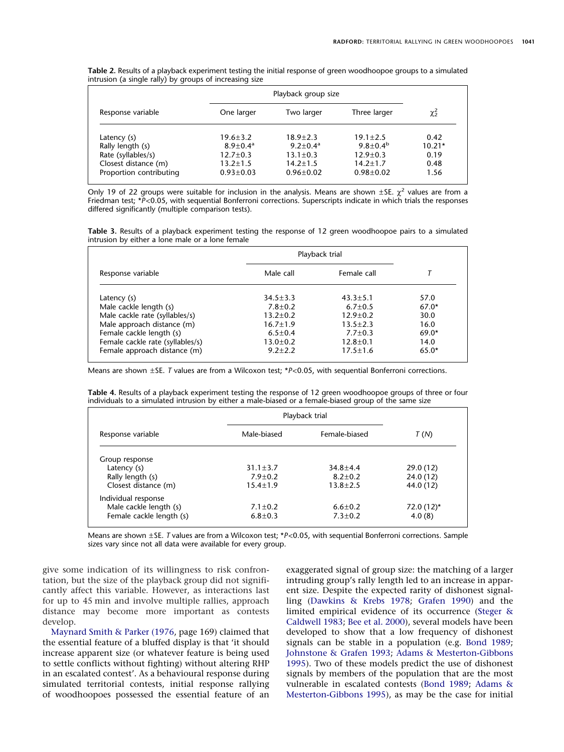|                                                 |                                 | Playback group size               |                                 |                  |
|-------------------------------------------------|---------------------------------|-----------------------------------|---------------------------------|------------------|
| Response variable                               | One larger                      | Two larger                        | Three larger                    | $\chi^2$         |
| Latency (s)<br>Rally length (s)                 | $19.6 \pm 3.2$<br>$8.9 + 0.4^a$ | $18.9 + 2.3$<br>$9.2 + 0.4^a$     | $19.1 \pm 2.5$<br>$9.8 + 0.4^b$ | 0.42<br>$10.21*$ |
| Rate (syllables/s)                              | $12.7 \pm 0.3$                  | $13.1 \pm 0.3$                    | $12.9 + 0.3$                    | 0.19             |
| Closest distance (m)<br>Proportion contributing | $13.2 \pm 1.5$<br>$0.93 + 0.03$ | $14.2 \pm 1.5$<br>$0.96 \pm 0.02$ | $14.2 \pm 1.7$<br>$0.98 + 0.02$ | 0.48<br>1.56     |

<span id="page-6-0"></span>**Table 2.** Results of a playback experiment testing the initial response of green woodhoopoe groups to a simulated intrusion (a single rally) by groups of increasing size

Only 19 of 22 groups were suitable for inclusion in the analysis. Means are shown  $\pm$ SE.  $\chi^2$  values are from a Friedman test; \**P<*0.05, with sequential Bonferroni corrections. Superscripts indicate in which trials the responses differed significantly (multiple comparison tests).

<span id="page-6-1"></span>**Table 3.** Results of a playback experiment testing the response of 12 green woodhoopoe pairs to a simulated intrusion by either a lone male or a lone female

|                                  | Playback trial |                |         |
|----------------------------------|----------------|----------------|---------|
| Response variable                | Male call      | Female call    |         |
| Latency (s)                      | $34.5 \pm 3.3$ | $43.3 \pm 5.1$ | 57.0    |
| Male cackle length (s)           | $7.8 + 0.2$    | $6.7 + 0.5$    | $67.0*$ |
| Male cackle rate (syllables/s)   | $13.2 \pm 0.2$ | $12.9 \pm 0.2$ | 30.0    |
| Male approach distance (m)       | $16.7 \pm 1.9$ | $13.5 + 2.3$   | 16.0    |
| Female cackle length (s)         | $6.5 \pm 0.4$  | $7.7 \pm 0.3$  | $69.0*$ |
| Female cackle rate (syllables/s) | $13.0 + 0.2$   | $12.8 \pm 0.1$ | 14.0    |
| Female approach distance (m)     | $9.2 + 2.2$    | $17.5 \pm 1.6$ | $65.0*$ |

Means are shown ±SE. *T* values are from a Wilcoxon test; \**P<*0.05, with sequential Bonferroni corrections.

<span id="page-6-2"></span>

| Table 4. Results of a playback experiment testing the response of 12 green woodhoopoe groups of three or four |  |
|---------------------------------------------------------------------------------------------------------------|--|
| individuals to a simulated intrusion by either a male-biased or a female-biased group of the same size        |  |

| Response variable        | Playback trial |                |              |  |
|--------------------------|----------------|----------------|--------------|--|
|                          | Male-biased    | Female-biased  | T(N)         |  |
| Group response           |                |                |              |  |
| Latency (s)              | $31.1 \pm 3.7$ | $34.8 + 4.4$   | 29.0 (12)    |  |
| Rally length (s)         | $7.9 \pm 0.2$  | $8.2 + 0.2$    | 24.0 (12)    |  |
| Closest distance (m)     | $15.4 \pm 1.9$ | $13.8 \pm 2.5$ | 44.0 (12)    |  |
| Individual response      |                |                |              |  |
| Male cackle length (s)   | $7.1 \pm 0.2$  | $6.6 + 0.2$    | $72.0(12)$ * |  |
| Female cackle length (s) | $6.8 \pm 0.3$  | $7.3 \pm 0.2$  | 4.0(8)       |  |

Means are shown ±SE. *T* values are from a Wilcoxon test; \**P<*0.05, with sequential Bonferroni corrections. Sample sizes vary since not all data were available for every group.

give some indication of its willingness to risk confrontation, but the size of the playback group did not significantly affect this variable. However, as interactions last for up to 45 min and involve multiple rallies, approach distance may become more important as contests develop.

[Maynard Smith & Parker \(1976,](#page-8-17) page 169) claimed that the essential feature of a bluffed display is that 'it should increase apparent size (or whatever feature is being used to settle conflicts without fighting) without altering RHP in an escalated contest'. As a behavioural response during simulated territorial contests, initial response rallying of woodhoopoes possessed the essential feature of an

exaggerated signal of group size: the matching of a larger intruding group's rally length led to an increase in apparent size. Despite the expected rarity of dishonest signalling [\(Dawkins & Krebs 1978;](#page-8-18) [Grafen 1990\)](#page-8-19) and the limited empirical evidence of its occurrence [\(Steger &](#page-9-16) [Caldwell 1983;](#page-9-16) [Bee et al. 2000\)](#page-8-20), several models have been developed to show that a low frequency of dishonest signals can be stable in a population (e.g. [Bond 1989;](#page-8-21) [Johnstone & Grafen 1993;](#page-8-22) [Adams & Mesterton-Gibbons](#page-8-23) [1995\)](#page-8-23). Two of these models predict the use of dishonest signals by members of the population that are the most vulnerable in escalated contests [\(Bond 1989;](#page-8-21) [Adams &](#page-8-23) [Mesterton-Gibbons 1995\)](#page-8-23), as may be the case for initial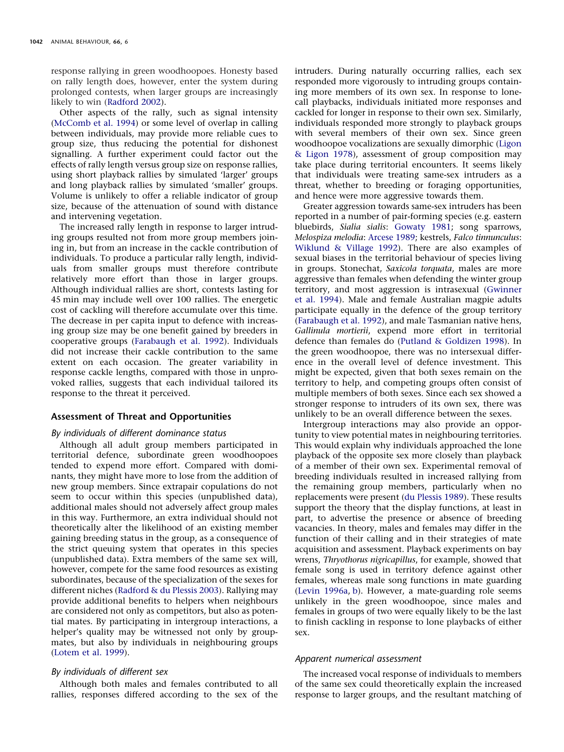response rallying in green woodhoopoes. Honesty based on rally length does, however, enter the system during prolonged contests, when larger groups are increasingly likely to win [\(Radford 2002\)](#page-9-6).

Other aspects of the rally, such as signal intensity [\(McComb et al. 1994\)](#page-8-9) or some level of overlap in calling between individuals, may provide more reliable cues to group size, thus reducing the potential for dishonest signalling. A further experiment could factor out the effects of rally length versus group size on response rallies, using short playback rallies by simulated 'larger' groups and long playback rallies by simulated 'smaller' groups. Volume is unlikely to offer a reliable indicator of group size, because of the attenuation of sound with distance and intervening vegetation.

The increased rally length in response to larger intruding groups resulted not from more group members joining in, but from an increase in the cackle contribution of individuals. To produce a particular rally length, individuals from smaller groups must therefore contribute relatively more effort than those in larger groups. Although individual rallies are short, contests lasting for 45 min may include well over 100 rallies. The energetic cost of cackling will therefore accumulate over this time. The decrease in per capita input to defence with increasing group size may be one benefit gained by breeders in cooperative groups [\(Farabaugh et al. 1992\)](#page-8-24). Individuals did not increase their cackle contribution to the same extent on each occasion. The greater variability in response cackle lengths, compared with those in unprovoked rallies, suggests that each individual tailored its response to the threat it perceived.

#### **Assessment of Threat and Opportunities**

#### *By individuals of different dominance status*

Although all adult group members participated in territorial defence, subordinate green woodhoopoes tended to expend more effort. Compared with dominants, they might have more to lose from the addition of new group members. Since extrapair copulations do not seem to occur within this species (unpublished data), additional males should not adversely affect group males in this way. Furthermore, an extra individual should not theoretically alter the likelihood of an existing member gaining breeding status in the group, as a consequence of the strict queuing system that operates in this species (unpublished data). Extra members of the same sex will, however, compete for the same food resources as existing subordinates, because of the specialization of the sexes for different niches [\(Radford & du Plessis 2003\)](#page-9-13). Rallying may provide additional benefits to helpers when neighbours are considered not only as competitors, but also as potential mates. By participating in intergroup interactions, a helper's quality may be witnessed not only by groupmates, but also by individuals in neighbouring groups [\(Lotem et al. 1999\)](#page-8-25).

## *By individuals of different sex*

Although both males and females contributed to all rallies, responses differed according to the sex of the intruders. During naturally occurring rallies, each sex responded more vigorously to intruding groups containing more members of its own sex. In response to lonecall playbacks, individuals initiated more responses and cackled for longer in response to their own sex. Similarly, individuals responded more strongly to playback groups with several members of their own sex. Since green woodhoopoe vocalizations are sexually dimorphic [\(Ligon](#page-8-6) [& Ligon 1978\)](#page-8-6), assessment of group composition may take place during territorial encounters. It seems likely that individuals were treating same-sex intruders as a threat, whether to breeding or foraging opportunities, and hence were more aggressive towards them.

Greater aggression towards same-sex intruders has been reported in a number of pair-forming species (e.g. eastern bluebirds, *Sialia sialis*: [Gowaty 1981;](#page-8-26) song sparrows, *Melospiza melodia*: [Arcese 1989;](#page-8-27) kestrels, *Falco tinnunculus*: [Wiklund & Village 1992\)](#page-9-17). There are also examples of sexual biases in the territorial behaviour of species living in groups. Stonechat, *Saxicola torquata*, males are more aggressive than females when defending the winter group territory, and most aggression is intrasexual [\(Gwinner](#page-8-28) [et al. 1994\)](#page-8-28). Male and female Australian magpie adults participate equally in the defence of the group territory [\(Farabaugh et al. 1992\)](#page-8-24), and male Tasmanian native hens, *Gallinula mortierii*, expend more effort in territorial defence than females do [\(Putland & Goldizen 1998\)](#page-9-18). In the green woodhoopoe, there was no intersexual difference in the overall level of defence investment. This might be expected, given that both sexes remain on the territory to help, and competing groups often consist of multiple members of both sexes. Since each sex showed a stronger response to intruders of its own sex, there was unlikely to be an overall difference between the sexes.

Intergroup interactions may also provide an opportunity to view potential mates in neighbouring territories. This would explain why individuals approached the lone playback of the opposite sex more closely than playback of a member of their own sex. Experimental removal of breeding individuals resulted in increased rallying from the remaining group members, particularly when no replacements were present [\(du Plessis 1989\)](#page-9-5). These results support the theory that the display functions, at least in part, to advertise the presence or absence of breeding vacancies. In theory, males and females may differ in the function of their calling and in their strategies of mate acquisition and assessment. Playback experiments on bay wrens, *Thryothorus nigricapillus*, for example, showed that female song is used in territory defence against other females, whereas male song functions in mate guarding [\(Levin 1996a,](#page-8-29) [b\)](#page-8-30). However, a mate-guarding role seems unlikely in the green woodhoopoe, since males and females in groups of two were equally likely to be the last to finish cackling in response to lone playbacks of either sex.

#### *Apparent numerical assessment*

The increased vocal response of individuals to members of the same sex could theoretically explain the increased response to larger groups, and the resultant matching of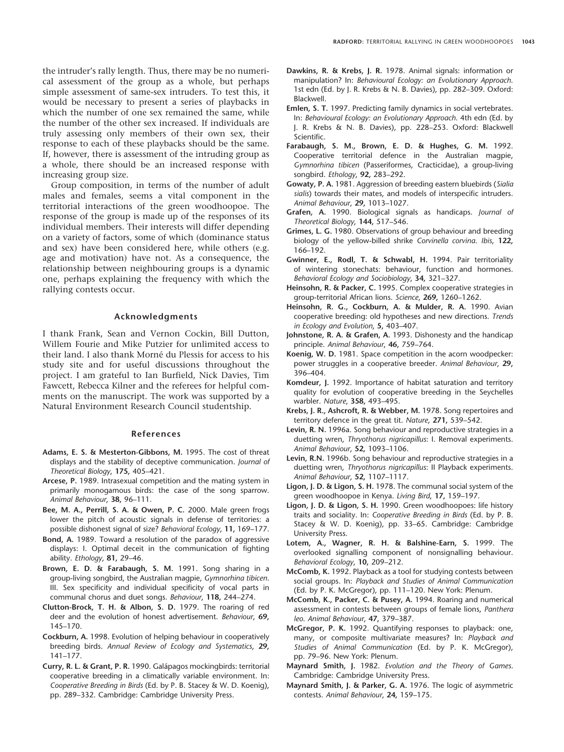the intruder's rally length. Thus, there may be no numerical assessment of the group as a whole, but perhaps simple assessment of same-sex intruders. To test this, it would be necessary to present a series of playbacks in which the number of one sex remained the same, while the number of the other sex increased. If individuals are truly assessing only members of their own sex, their response to each of these playbacks should be the same. If, however, there is assessment of the intruding group as a whole, there should be an increased response with increasing group size.

Group composition, in terms of the number of adult males and females, seems a vital component in the territorial interactions of the green woodhoopoe. The response of the group is made up of the responses of its individual members. Their interests will differ depending on a variety of factors, some of which (dominance status and sex) have been considered here, while others (e.g. age and motivation) have not. As a consequence, the relationship between neighbouring groups is a dynamic one, perhaps explaining the frequency with which the rallying contests occur.

# **Acknowledgments**

I thank Frank, Sean and Vernon Cockin, Bill Dutton, Willem Fourie and Mike Putzier for unlimited access to their land. I also thank Morné du Plessis for access to his study site and for useful discussions throughout the project. I am grateful to Ian Burfield, Nick Davies, Tim Fawcett, Rebecca Kilner and the referees for helpful comments on the manuscript. The work was supported by a Natural Environment Research Council studentship.

## **References**

- <span id="page-8-23"></span>**Adams, E. S. & Mesterton-Gibbons, M.** 1995. The cost of threat displays and the stability of deceptive communication. *Journal of Theoretical Biology*, **175,** 405–421.
- <span id="page-8-27"></span>**Arcese, P.** 1989. Intrasexual competition and the mating system in primarily monogamous birds: the case of the song sparrow. *Animal Behaviour*, **38,** 96–111.
- <span id="page-8-20"></span>**Bee, M. A., Perrill, S. A. & Owen, P. C.** 2000. Male green frogs lower the pitch of acoustic signals in defense of territories: a possible dishonest signal of size? *Behavioral Ecology*, **11,** 169–177.
- <span id="page-8-21"></span>**Bond, A.** 1989. Toward a resolution of the paradox of aggressive displays: I. Optimal deceit in the communication of fighting ability. *Ethology*, **81,** 29–46.
- <span id="page-8-4"></span>**Brown, E. D. & Farabaugh, S. M.** 1991. Song sharing in a group-living songbird, the Australian magpie, *Gymnorhina tibicen*. III. Sex specificity and individual specificity of vocal parts in communal chorus and duet songs. *Behaviour*, **118,** 244–274.
- <span id="page-8-11"></span>**Clutton-Brock, T. H. & Albon, S. D.** 1979. The roaring of red deer and the evolution of honest advertisement. *Behaviour*, **69,** 145–170.
- <span id="page-8-1"></span>**Cockburn, A.** 1998. Evolution of helping behaviour in cooperatively breeding birds. *Annual Review of Ecology and Systematics*, **29,** 141–177.
- <span id="page-8-3"></span>**Curry, R. L. & Grant, P. R.** 1990. Gala´pagos mockingbirds: territorial cooperative breeding in a climatically variable environment. In: *Cooperative Breeding in Birds* (Ed. by P. B. Stacey & W. D. Koenig), pp. 289–332. Cambridge: Cambridge University Press.
- <span id="page-8-18"></span>**Dawkins, R. & Krebs, J. R.** 1978. Animal signals: information or manipulation? In: *Behavioural Ecology: an Evolutionary Approach*. 1st edn (Ed. by J. R. Krebs & N. B. Davies), pp. 282–309. Oxford: **Blackwell**
- <span id="page-8-12"></span>**Emlen, S. T.** 1997. Predicting family dynamics in social vertebrates. In: *Behavioural Ecology: an Evolutionary Approach*. 4th edn (Ed. by J. R. Krebs & N. B. Davies), pp. 228–253. Oxford: Blackwell Scientific.
- <span id="page-8-24"></span>**Farabaugh, S. M., Brown, E. D. & Hughes, G. M.** 1992. Cooperative territorial defence in the Australian magpie, *Gymnorhina tibicen* (Passeriformes, Cracticidae), a group-living songbird. *Ethology*, **92,** 283–292.
- <span id="page-8-26"></span>**Gowaty, P. A.** 1981. Aggression of breeding eastern bluebirds (*Sialia sialis*) towards their mates, and models of interspecific intruders. *Animal Behaviour*, **29,** 1013–1027.
- <span id="page-8-19"></span>**Grafen, A.** 1990. Biological signals as handicaps. *Journal of Theoretical Biology*, **144,** 517–546.
- <span id="page-8-2"></span>**Grimes, L. G.** 1980. Observations of group behaviour and breeding biology of the yellow-billed shrike *Corvinella corvina*. *Ibis*, **122,** 166–192.
- <span id="page-8-28"></span>**Gwinner, E., Rodl, T. & Schwabl, H.** 1994. Pair territoriality of wintering stonechats: behaviour, function and hormones. *Behavioral Ecology and Sociobiology*, **34,** 321–327.
- <span id="page-8-15"></span>**Heinsohn, R. & Packer, C.** 1995. Complex cooperative strategies in group-territorial African lions. *Science*, **269,** 1260–1262.
- <span id="page-8-0"></span>**Heinsohn, R. G., Cockburn, A. & Mulder, R. A.** 1990. Avian cooperative breeding: old hypotheses and new directions. *Trends in Ecology and Evolution*, **5,** 403–407.
- <span id="page-8-22"></span>**Johnstone, R. A. & Grafen, A.** 1993. Dishonesty and the handicap principle. *Animal Behaviour*, **46,** 759–764.
- <span id="page-8-13"></span>**Koenig, W. D.** 1981. Space competition in the acorn woodpecker: power struggles in a cooperative breeder. *Animal Behaviour*, **29,** 396–404.
- <span id="page-8-14"></span>**Komdeur, J.** 1992. Importance of habitat saturation and territory quality for evolution of cooperative breeding in the Seychelles warbler. *Nature*, **358,** 493–495.
- <span id="page-8-10"></span>**Krebs, J. R., Ashcroft, R. & Webber, M.** 1978. Song repertoires and territory defence in the great tit. *Nature*, **271,** 539–542.
- <span id="page-8-29"></span>**Levin, R. N.** 1996a. Song behaviour and reproductive strategies in a duetting wren, *Thryothorus nigricapillus*: I. Removal experiments. *Animal Behaviour*, **52,** 1093–1106.
- <span id="page-8-30"></span>**Levin, R.N.** 1996b. Song behaviour and reproductive strategies in a duetting wren, *Thryothorus nigricapillus*: II Playback experiments. *Animal Behaviour*, **52,** 1107–1117.
- <span id="page-8-6"></span>**Ligon, J. D. & Ligon, S. H.** 1978. The communal social system of the green woodhoopoe in Kenya. *Living Bird*, **17,** 159–197.
- <span id="page-8-5"></span>**Ligon, J. D. & Ligon, S. H.** 1990. Green woodhoopoes: life history traits and sociality. In: *Cooperative Breeding in Birds* (Ed. by P. B. Stacey & W. D. Koenig), pp. 33–65. Cambridge: Cambridge University Press.
- <span id="page-8-25"></span>**Lotem, A., Wagner, R. H. & Balshine-Earn, S.** 1999. The overlooked signalling component of nonsignalling behaviour. *Behavioral Ecology*, **10,** 209–212.
- <span id="page-8-8"></span>**McComb, K.** 1992. Playback as a tool for studying contests between social groups. In: *Playback and Studies of Animal Communication* (Ed. by P. K. McGregor), pp. 111–120. New York: Plenum.
- <span id="page-8-9"></span>**McComb, K., Packer, C. & Pusey, A.** 1994. Roaring and numerical assessment in contests between groups of female lions, *Panthera leo*. *Animal Behaviour*, **47,** 379–387.
- <span id="page-8-16"></span>**McGregor, P. K.** 1992. Quantifying responses to playback: one, many, or composite multivariate measures? In: *Playback and Studies of Animal Communication* (Ed. by P. K. McGregor), pp. 79–96. New York: Plenum.
- <span id="page-8-7"></span>**Maynard Smith, J.** 1982. *Evolution and the Theory of Games*. Cambridge: Cambridge University Press.
- <span id="page-8-17"></span>**Maynard Smith, J. & Parker, G. A.** 1976. The logic of asymmetric contests. *Animal Behaviour*, **24,** 159–175.